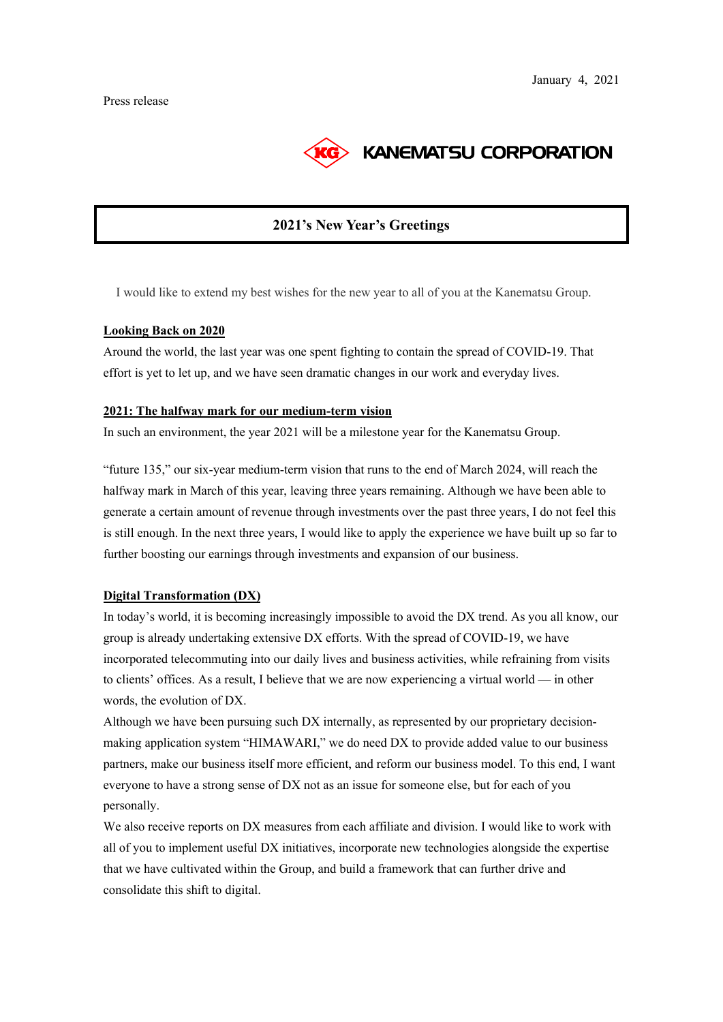

# **2021's New Year's Greetings**

I would like to extend my best wishes for the new year to all of you at the Kanematsu Group.

### **Looking Back on 2020**

Around the world, the last year was one spent fighting to contain the spread of COVID-19. That effort is yet to let up, and we have seen dramatic changes in our work and everyday lives.

### **2021: The halfway mark for our medium-term vision**

In such an environment, the year 2021 will be a milestone year for the Kanematsu Group.

"future 135," our six-year medium-term vision that runs to the end of March 2024, will reach the halfway mark in March of this year, leaving three years remaining. Although we have been able to generate a certain amount of revenue through investments over the past three years, I do not feel this is still enough. In the next three years, I would like to apply the experience we have built up so far to further boosting our earnings through investments and expansion of our business.

## **Digital Transformation (DX)**

In today's world, it is becoming increasingly impossible to avoid the DX trend. As you all know, our group is already undertaking extensive DX efforts. With the spread of COVID-19, we have incorporated telecommuting into our daily lives and business activities, while refraining from visits to clients' offices. As a result, I believe that we are now experiencing a virtual world — in other words, the evolution of DX.

Although we have been pursuing such DX internally, as represented by our proprietary decisionmaking application system "HIMAWARI," we do need DX to provide added value to our business partners, make our business itself more efficient, and reform our business model. To this end, I want everyone to have a strong sense of DX not as an issue for someone else, but for each of you personally.

We also receive reports on DX measures from each affiliate and division. I would like to work with all of you to implement useful DX initiatives, incorporate new technologies alongside the expertise that we have cultivated within the Group, and build a framework that can further drive and consolidate this shift to digital.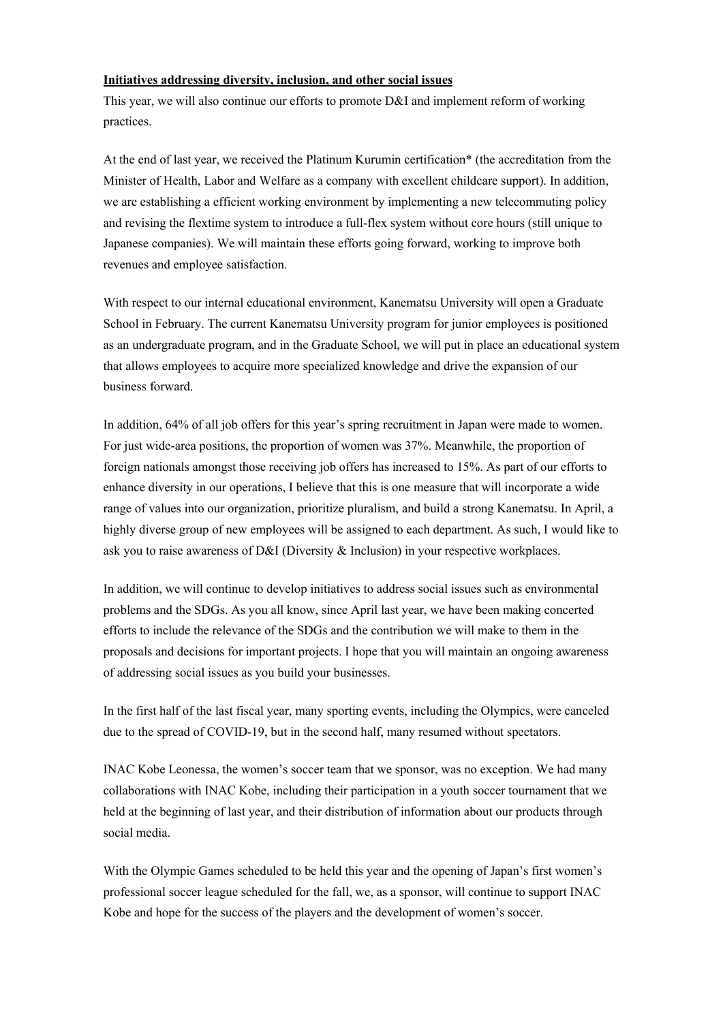#### **Initiatives addressing diversity, inclusion, and other social issues**

This year, we will also continue our efforts to promote D&I and implement reform of working practices.

At the end of last year, we received the Platinum Kurumin certification\* (the accreditation from the Minister of Health, Labor and Welfare as a company with excellent childcare support). In addition, we are establishing a efficient working environment by implementing a new telecommuting policy and revising the flextime system to introduce a full-flex system without core hours (still unique to Japanese companies). We will maintain these efforts going forward, working to improve both revenues and employee satisfaction.

With respect to our internal educational environment, Kanematsu University will open a Graduate School in February. The current Kanematsu University program for junior employees is positioned as an undergraduate program, and in the Graduate School, we will put in place an educational system that allows employees to acquire more specialized knowledge and drive the expansion of our business forward.

In addition, 64% of all job offers for this year's spring recruitment in Japan were made to women. For just wide-area positions, the proportion of women was 37%. Meanwhile, the proportion of foreign nationals amongst those receiving job offers has increased to 15%. As part of our efforts to enhance diversity in our operations, I believe that this is one measure that will incorporate a wide range of values into our organization, prioritize pluralism, and build a strong Kanematsu. In April, a highly diverse group of new employees will be assigned to each department. As such, I would like to ask you to raise awareness of D&I (Diversity & Inclusion) in your respective workplaces.

In addition, we will continue to develop initiatives to address social issues such as environmental problems and the SDGs. As you all know, since April last year, we have been making concerted efforts to include the relevance of the SDGs and the contribution we will make to them in the proposals and decisions for important projects. I hope that you will maintain an ongoing awareness of addressing social issues as you build your businesses.

In the first half of the last fiscal year, many sporting events, including the Olympics, were canceled due to the spread of COVID-19, but in the second half, many resumed without spectators.

INAC Kobe Leonessa, the women's soccer team that we sponsor, was no exception. We had many collaborations with INAC Kobe, including their participation in a youth soccer tournament that we held at the beginning of last year, and their distribution of information about our products through social media.

With the Olympic Games scheduled to be held this year and the opening of Japan's first women's professional soccer league scheduled for the fall, we, as a sponsor, will continue to support INAC Kobe and hope for the success of the players and the development of women's soccer.